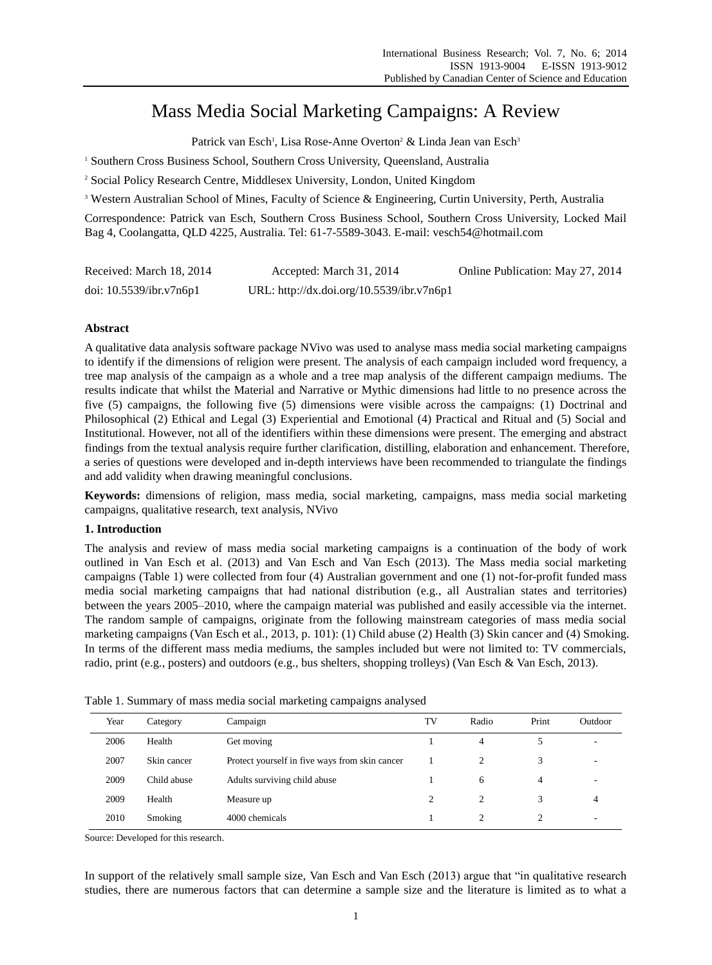# Mass Media Social Marketing Campaigns: A Review

Patrick van Esch<sup>1</sup>, Lisa Rose-Anne Overton<sup>2</sup> & Linda Jean van Esch<sup>3</sup>

<sup>1</sup> Southern Cross Business School, Southern Cross University, Queensland, Australia

<sup>2</sup> Social Policy Research Centre, Middlesex University, London, United Kingdom

<sup>3</sup> Western Australian School of Mines, Faculty of Science & Engineering, Curtin University, Perth, Australia

Correspondence: Patrick van Esch, Southern Cross Business School, Southern Cross University, Locked Mail Bag 4, Coolangatta, QLD 4225, Australia. Tel: 61-7-5589-3043. E-mail: vesch54@hotmail.com

| Received: March 18, 2014 | Accepted: March 31, 2014                  | Online Publication: May 27, 2014 |
|--------------------------|-------------------------------------------|----------------------------------|
| doi: 10.5539/ibr.v7n6p1  | URL: http://dx.doi.org/10.5539/ibr.v7n6p1 |                                  |

# **Abstract**

A qualitative data analysis software package NVivo was used to analyse mass media social marketing campaigns to identify if the dimensions of religion were present. The analysis of each campaign included word frequency, a tree map analysis of the campaign as a whole and a tree map analysis of the different campaign mediums. The results indicate that whilst the Material and Narrative or Mythic dimensions had little to no presence across the five (5) campaigns, the following five (5) dimensions were visible across the campaigns: (1) Doctrinal and Philosophical (2) Ethical and Legal (3) Experiential and Emotional (4) Practical and Ritual and (5) Social and Institutional. However, not all of the identifiers within these dimensions were present. The emerging and abstract findings from the textual analysis require further clarification, distilling, elaboration and enhancement. Therefore, a series of questions were developed and in-depth interviews have been recommended to triangulate the findings and add validity when drawing meaningful conclusions.

**Keywords:** dimensions of religion, mass media, social marketing, campaigns, mass media social marketing campaigns, qualitative research, text analysis, NVivo

# **1. Introduction**

The analysis and review of mass media social marketing campaigns is a continuation of the body of work outlined in Van Esch et al. (2013) and Van Esch and Van Esch (2013). The Mass media social marketing campaigns (Table 1) were collected from four (4) Australian government and one (1) not-for-profit funded mass media social marketing campaigns that had national distribution (e.g., all Australian states and territories) between the years 2005–2010, where the campaign material was published and easily accessible via the internet. The random sample of campaigns, originate from the following mainstream categories of mass media social marketing campaigns (Van Esch et al., 2013, p. 101): (1) Child abuse (2) Health (3) Skin cancer and (4) Smoking. In terms of the different mass media mediums, the samples included but were not limited to: TV commercials, radio, print (e.g., posters) and outdoors (e.g., bus shelters, shopping trolleys) (Van Esch & Van Esch, 2013).

| Year | Category    | Campaign                                       | TV | Radio | Print          | <b>Outdoor</b>           |
|------|-------------|------------------------------------------------|----|-------|----------------|--------------------------|
| 2006 | Health      | Get moving                                     |    | 4     |                | $\overline{\phantom{a}}$ |
| 2007 | Skin cancer | Protect yourself in five ways from skin cancer |    |       | 3              | $\overline{\phantom{a}}$ |
| 2009 | Child abuse | Adults surviving child abuse                   |    | 6     | 4              | $\overline{\phantom{a}}$ |
| 2009 | Health      | Measure up                                     | 2  | 2     | 3              | 4                        |
| 2010 | Smoking     | 4000 chemicals                                 |    | 2     | $\overline{c}$ | $\overline{\phantom{a}}$ |

Table 1. Summary of mass media social marketing campaigns analysed

Source: Developed for this research.

In support of the relatively small sample size, Van Esch and Van Esch (2013) argue that "in qualitative research studies, there are numerous factors that can determine a sample size and the literature is limited as to what a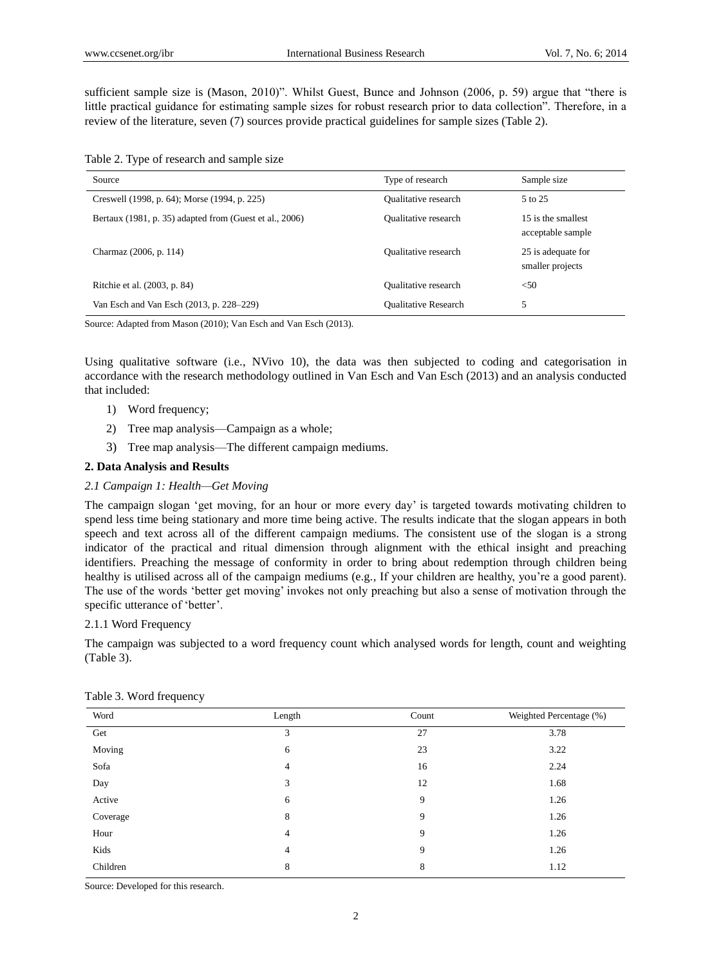sufficient sample size is (Mason, 2010)". Whilst Guest, Bunce and Johnson (2006, p. 59) argue that "there is little practical guidance for estimating sample sizes for robust research prior to data collection". Therefore, in a review of the literature, seven (7) sources provide practical guidelines for sample sizes (Table 2).

Table 2. Type of research and sample size

| Source                                                  | Type of research            | Sample size                             |
|---------------------------------------------------------|-----------------------------|-----------------------------------------|
| Creswell (1998, p. 64); Morse (1994, p. 225)            | <b>Oualitative research</b> | 5 to 25                                 |
| Bertaux (1981, p. 35) adapted from (Guest et al., 2006) | <b>Oualitative research</b> | 15 is the smallest<br>acceptable sample |
| Charmaz (2006, p. 114)                                  | <b>Oualitative research</b> | 25 is adequate for<br>smaller projects  |
| Ritchie et al. (2003, p. 84)                            | <b>Oualitative research</b> | < 50                                    |
| Van Esch and Van Esch (2013, p. 228–229)                | <b>Oualitative Research</b> | 5                                       |

Source: Adapted from Mason (2010); Van Esch and Van Esch (2013).

Using qualitative software (i.e., NVivo 10), the data was then subjected to coding and categorisation in accordance with the research methodology outlined in Van Esch and Van Esch (2013) and an analysis conducted that included:

- 1) Word frequency;
- 2) Tree map analysis—Campaign as a whole;
- 3) Tree map analysis—The different campaign mediums.

# **2. Data Analysis and Results**

# *2.1 Campaign 1: Health—Get Moving*

The campaign slogan 'get moving, for an hour or more every day' is targeted towards motivating children to spend less time being stationary and more time being active. The results indicate that the slogan appears in both speech and text across all of the different campaign mediums. The consistent use of the slogan is a strong indicator of the practical and ritual dimension through alignment with the ethical insight and preaching identifiers. Preaching the message of conformity in order to bring about redemption through children being healthy is utilised across all of the campaign mediums (e.g., If your children are healthy, you're a good parent). The use of the words ‗better get moving' invokes not only preaching but also a sense of motivation through the specific utterance of 'better'.

# 2.1.1 Word Frequency

The campaign was subjected to a word frequency count which analysed words for length, count and weighting (Table 3).

| $\overline{\phantom{a}}$<br>- - |        |       |                         |
|---------------------------------|--------|-------|-------------------------|
| Word                            | Length | Count | Weighted Percentage (%) |
| Get                             | 3      | 27    | 3.78                    |
| Moving                          | 6      | 23    | 3.22                    |
| Sofa                            | 4      | 16    | 2.24                    |
| Day                             | 3      | 12    | 1.68                    |
| Active                          | 6      | 9     | 1.26                    |
| Coverage                        | 8      | 9     | 1.26                    |
| Hour                            | 4      | 9     | 1.26                    |
| Kids                            | 4      | 9     | 1.26                    |
| Children                        | 8      | 8     | 1.12                    |

Table 3. Word frequency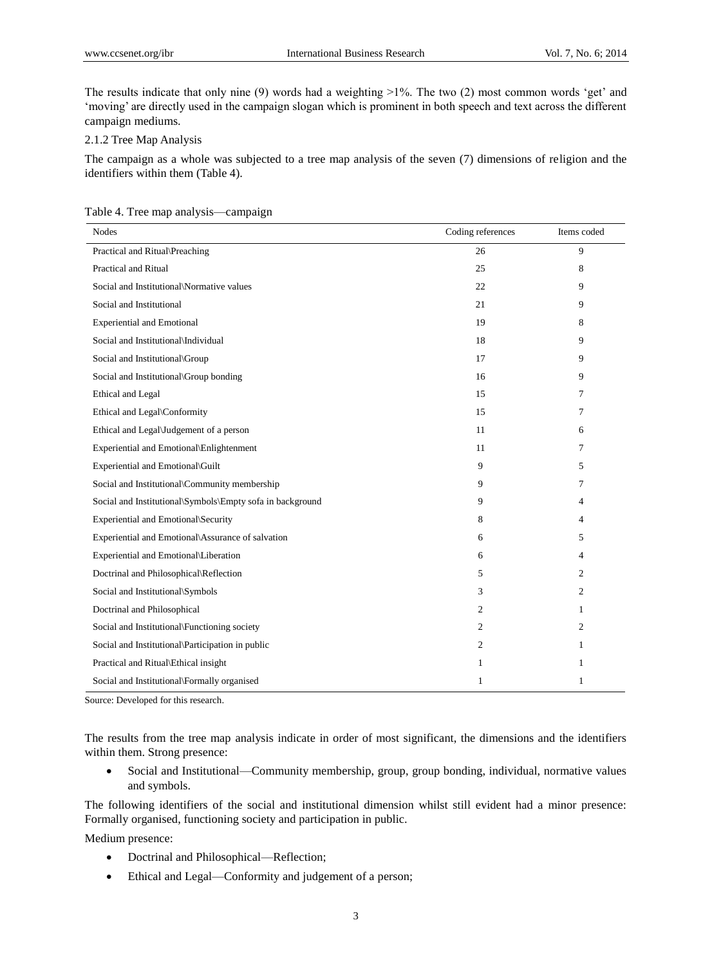The results indicate that only nine (9) words had a weighting  $>1\%$ . The two (2) most common words 'get' and ‗moving' are directly used in the campaign slogan which is prominent in both speech and text across the different campaign mediums.

## 2.1.2 Tree Map Analysis

The campaign as a whole was subjected to a tree map analysis of the seven (7) dimensions of religion and the identifiers within them (Table 4).

|  | Table 4. Tree map analysis—campaign |  |
|--|-------------------------------------|--|
|  |                                     |  |

| <b>Nodes</b>                                              | Coding references | Items coded    |
|-----------------------------------------------------------|-------------------|----------------|
| Practical and Ritual\Preaching                            | 26                | 9              |
| Practical and Ritual                                      | 25                | 8              |
| Social and Institutional\Normative values                 | 22                | 9              |
| Social and Institutional                                  | 21                | 9              |
| <b>Experiential and Emotional</b>                         | 19                | 8              |
| Social and Institutional\Individual                       | 18                | 9              |
| Social and Institutional\Group                            | 17                | 9              |
| Social and Institutional\Group bonding                    | 16                | 9              |
| Ethical and Legal                                         | 15                | 7              |
| Ethical and Legal\Conformity                              | 15                | 7              |
| Ethical and Legal\Judgement of a person                   | 11                | 6              |
| Experiential and Emotional\Enlightenment                  | 11                | 7              |
| Experiential and Emotional\Guilt                          | 9                 | 5              |
| Social and Institutional\Community membership             | 9                 | 7              |
| Social and Institutional\Symbols\Empty sofa in background | 9                 | $\overline{4}$ |
| Experiential and Emotional\Security                       | 8                 | $\overline{4}$ |
| Experiential and Emotional\Assurance of salvation         | 6                 | 5              |
| Experiential and Emotional\Liberation                     | 6                 | $\overline{4}$ |
| Doctrinal and Philosophical\Reflection                    | 5                 | 2              |
| Social and Institutional\Symbols                          | 3                 | $\overline{c}$ |
| Doctrinal and Philosophical                               | 2                 | $\mathbf{1}$   |
| Social and Institutional\Functioning society              | $\overline{c}$    | $\overline{c}$ |
| Social and Institutional\Participation in public          | $\overline{c}$    | 1              |
| Practical and Ritual\Ethical insight                      | $\mathbf{1}$      | 1              |
| Social and Institutional\Formally organised               | $\mathbf{1}$      | $\mathbf{1}$   |

Source: Developed for this research.

The results from the tree map analysis indicate in order of most significant, the dimensions and the identifiers within them. Strong presence:

 Social and Institutional—Community membership, group, group bonding, individual, normative values and symbols.

The following identifiers of the social and institutional dimension whilst still evident had a minor presence: Formally organised, functioning society and participation in public.

Medium presence:

- Doctrinal and Philosophical—Reflection;
- Ethical and Legal—Conformity and judgement of a person;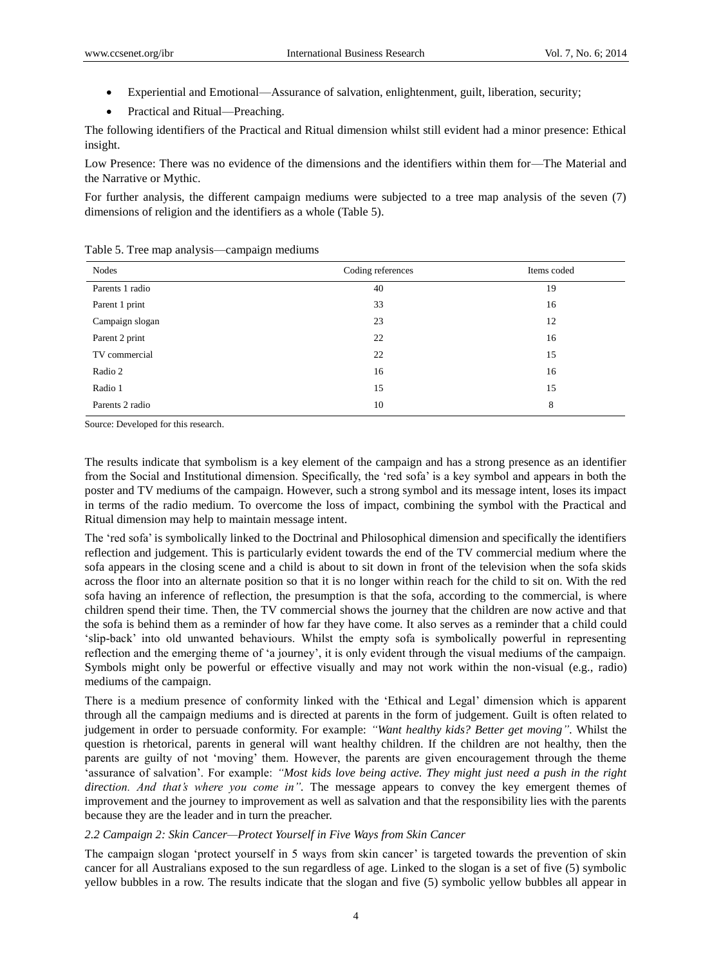- Experiential and Emotional—Assurance of salvation, enlightenment, guilt, liberation, security;
- Practical and Ritual—Preaching.

The following identifiers of the Practical and Ritual dimension whilst still evident had a minor presence: Ethical insight.

Low Presence: There was no evidence of the dimensions and the identifiers within them for—The Material and the Narrative or Mythic.

For further analysis, the different campaign mediums were subjected to a tree map analysis of the seven (7) dimensions of religion and the identifiers as a whole (Table 5).

| Nodes           | Coding references | Items coded |
|-----------------|-------------------|-------------|
| Parents 1 radio | 40                | 19          |
| Parent 1 print  | 33                | 16          |
| Campaign slogan | 23                | 12          |
| Parent 2 print  | 22                | 16          |
| TV commercial   | 22                | 15          |
| Radio 2         | 16                | 16          |
| Radio 1         | 15                | 15          |
| Parents 2 radio | 10                | 8           |

Table 5. Tree map analysis—campaign mediums

Source: Developed for this research.

The results indicate that symbolism is a key element of the campaign and has a strong presence as an identifier from the Social and Institutional dimension. Specifically, the 'red sofa' is a key symbol and appears in both the poster and TV mediums of the campaign. However, such a strong symbol and its message intent, loses its impact in terms of the radio medium. To overcome the loss of impact, combining the symbol with the Practical and Ritual dimension may help to maintain message intent.

The 'red sofa' is symbolically linked to the Doctrinal and Philosophical dimension and specifically the identifiers reflection and judgement. This is particularly evident towards the end of the TV commercial medium where the sofa appears in the closing scene and a child is about to sit down in front of the television when the sofa skids across the floor into an alternate position so that it is no longer within reach for the child to sit on. With the red sofa having an inference of reflection, the presumption is that the sofa, according to the commercial, is where children spend their time. Then, the TV commercial shows the journey that the children are now active and that the sofa is behind them as a reminder of how far they have come. It also serves as a reminder that a child could ‗slip-back' into old unwanted behaviours. Whilst the empty sofa is symbolically powerful in representing reflection and the emerging theme of 'a journey', it is only evident through the visual mediums of the campaign. Symbols might only be powerful or effective visually and may not work within the non-visual (e.g., radio) mediums of the campaign.

There is a medium presence of conformity linked with the 'Ethical and Legal' dimension which is apparent through all the campaign mediums and is directed at parents in the form of judgement. Guilt is often related to judgement in order to persuade conformity. For example: *"Want healthy kids? Better get moving"*. Whilst the question is rhetorical, parents in general will want healthy children. If the children are not healthy, then the parents are guilty of not 'moving' them. However, the parents are given encouragement through the theme 'assurance of salvation'. For example: "Most kids love being active. They might just need a push in the right direction. And that's where you come in". The message appears to convey the key emergent themes of improvement and the journey to improvement as well as salvation and that the responsibility lies with the parents because they are the leader and in turn the preacher.

# *2.2 Campaign 2: Skin Cancer—Protect Yourself in Five Ways from Skin Cancer*

The campaign slogan 'protect yourself in 5 ways from skin cancer' is targeted towards the prevention of skin cancer for all Australians exposed to the sun regardless of age. Linked to the slogan is a set of five (5) symbolic yellow bubbles in a row. The results indicate that the slogan and five (5) symbolic yellow bubbles all appear in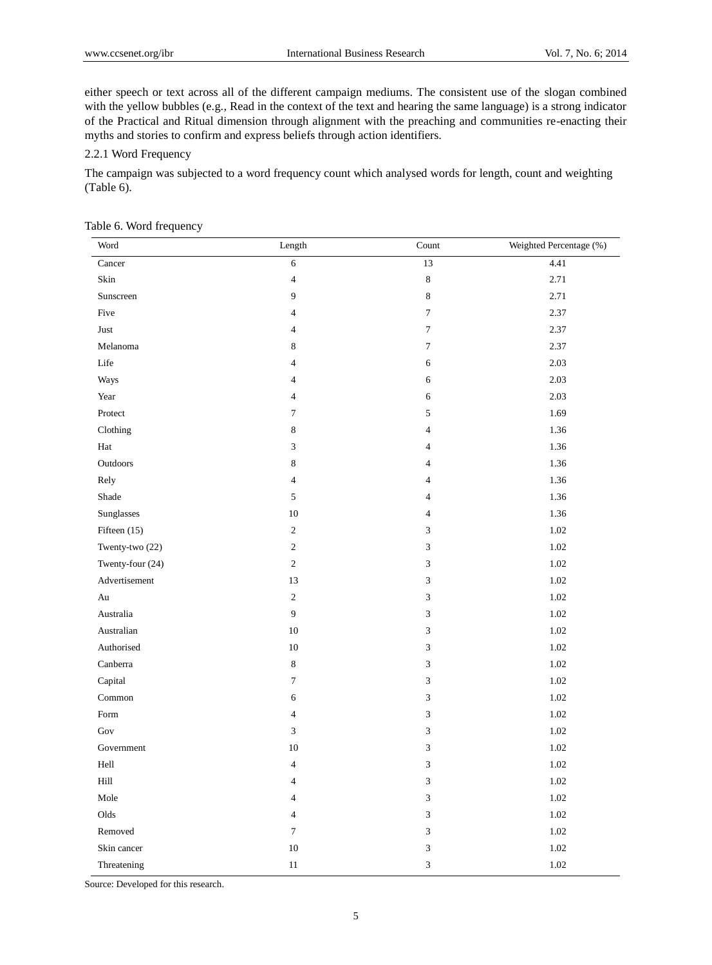either speech or text across all of the different campaign mediums. The consistent use of the slogan combined with the yellow bubbles (e.g., Read in the context of the text and hearing the same language) is a strong indicator of the Practical and Ritual dimension through alignment with the preaching and communities re-enacting their myths and stories to confirm and express beliefs through action identifiers.

## 2.2.1 Word Frequency

The campaign was subjected to a word frequency count which analysed words for length, count and weighting (Table 6).

# Table 6. Word frequency

| Word                                                                                                                                 | Length                      | $\operatorname{Count}$      | Weighted Percentage (%) |
|--------------------------------------------------------------------------------------------------------------------------------------|-----------------------------|-----------------------------|-------------------------|
| Cancer                                                                                                                               | 6                           | 13                          | 4.41                    |
| Skin                                                                                                                                 | $\overline{4}$              | $\,8\,$                     | 2.71                    |
| Sunscreen                                                                                                                            | $\boldsymbol{9}$            | 8                           | 2.71                    |
| Five                                                                                                                                 | $\overline{4}$              | $\boldsymbol{7}$            | 2.37                    |
| Just                                                                                                                                 | $\overline{4}$              | $\boldsymbol{7}$            | 2.37                    |
| Melanoma                                                                                                                             | 8                           | $\boldsymbol{7}$            | 2.37                    |
| Life                                                                                                                                 | $\overline{\mathcal{L}}$    | 6                           | 2.03                    |
| Ways                                                                                                                                 | $\overline{4}$              | 6                           | 2.03                    |
| Year                                                                                                                                 | $\overline{4}$              | 6                           | 2.03                    |
| Protect                                                                                                                              | $\boldsymbol{7}$            | $\sqrt{5}$                  | 1.69                    |
| Clothing                                                                                                                             | $\,$ 8 $\,$                 | $\overline{4}$              | 1.36                    |
| $\operatorname*{Hat}% \nolimits_{\mathbb{Z}}\left( \mathbb{Z}^{\Sigma\left( 1\right) }% ,\mathbb{Z}^{\Sigma\left( 2\right) }\right)$ | 3                           | 4                           | 1.36                    |
| Outdoors                                                                                                                             | 8                           | 4                           | 1.36                    |
| Rely                                                                                                                                 | $\overline{4}$              | $\overline{4}$              | 1.36                    |
| Shade                                                                                                                                | $\sqrt{5}$                  | 4                           | 1.36                    |
| Sunglasses                                                                                                                           | $10\,$                      | $\overline{4}$              | 1.36                    |
| Fifteen (15)                                                                                                                         | $\sqrt{2}$                  | 3                           | 1.02                    |
| Twenty-two (22)                                                                                                                      | $\boldsymbol{2}$            | $\mathfrak{Z}$              | $1.02\,$                |
| Twenty-four (24)                                                                                                                     | $\sqrt{2}$                  | $\ensuremath{\mathfrak{Z}}$ | $1.02\,$                |
| Advertisement                                                                                                                        | 13                          | 3                           | 1.02                    |
| Au                                                                                                                                   | $\sqrt{2}$                  | 3                           | $1.02\,$                |
| Australia                                                                                                                            | $\boldsymbol{9}$            | $\ensuremath{\mathfrak{Z}}$ | $1.02\,$                |
| Australian                                                                                                                           | $10\,$                      | 3                           | 1.02                    |
| Authorised                                                                                                                           | $10\,$                      | $\mathfrak{Z}$              | $1.02\,$                |
| Canberra                                                                                                                             | $\,8\,$                     | $\ensuremath{\mathfrak{Z}}$ | $1.02\,$                |
| Capital                                                                                                                              | $\boldsymbol{7}$            | 3                           | 1.02                    |
| $\operatorname{Common}$                                                                                                              | 6                           | 3                           | $1.02\,$                |
| $\ensuremath{\mathsf{Form}}\xspace$                                                                                                  | $\overline{\mathcal{L}}$    | $\ensuremath{\mathfrak{Z}}$ | $1.02\,$                |
| Gov                                                                                                                                  | $\ensuremath{\mathfrak{Z}}$ | 3                           | $1.02\,$                |
| Government                                                                                                                           | $10\,$                      | 3                           | $1.02\,$                |
| Hell                                                                                                                                 | $\overline{4}$              | 3                           | $1.02\,$                |
| $\rm Hill$                                                                                                                           | $\overline{4}$              | $\ensuremath{\mathfrak{Z}}$ | $1.02\,$                |
| Mole                                                                                                                                 | $\overline{4}$              | $\mathfrak{Z}$              | $1.02\,$                |
| $\rm Olds$                                                                                                                           | $\overline{\mathcal{L}}$    | $\mathfrak{Z}$              | $1.02\,$                |
| Removed                                                                                                                              | $\boldsymbol{7}$            | 3                           | $1.02\,$                |
| Skin cancer                                                                                                                          | $10\,$                      | $\ensuremath{\mathfrak{Z}}$ | $1.02\,$                |
| Threatening                                                                                                                          | $11\,$                      | $\mathfrak{Z}$              | $1.02\,$                |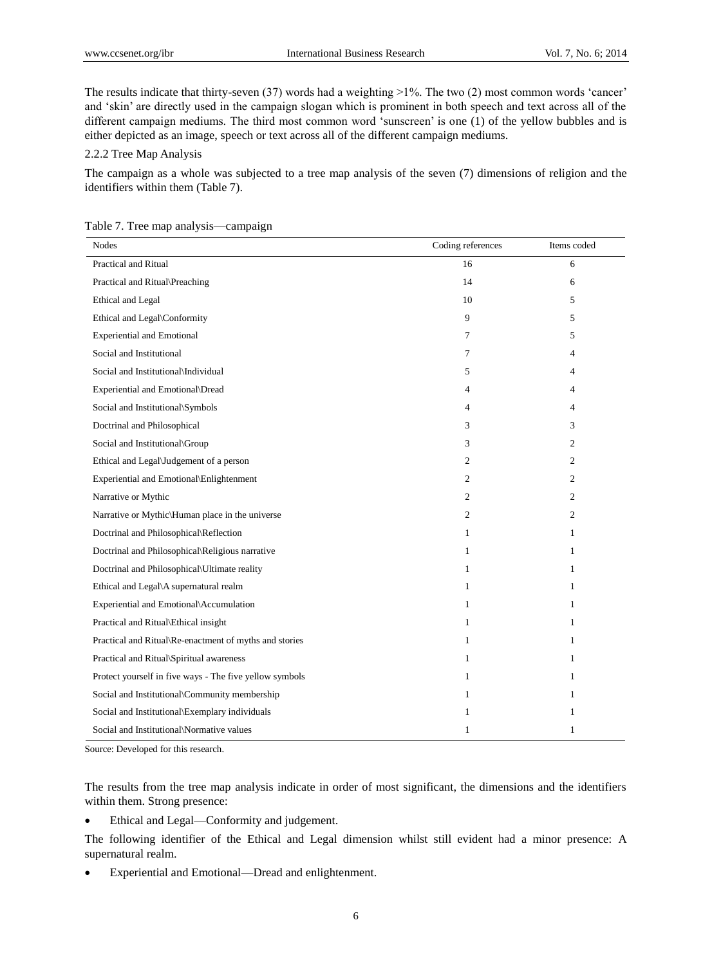The results indicate that thirty-seven  $(37)$  words had a weighting  $>1\%$ . The two  $(2)$  most common words 'cancer' and 'skin' are directly used in the campaign slogan which is prominent in both speech and text across all of the different campaign mediums. The third most common word 'sunscreen' is one (1) of the yellow bubbles and is either depicted as an image, speech or text across all of the different campaign mediums.

#### 2.2.2 Tree Map Analysis

The campaign as a whole was subjected to a tree map analysis of the seven (7) dimensions of religion and the identifiers within them (Table 7).

|  |  | Table 7. Tree map analysis—campaign |
|--|--|-------------------------------------|
|  |  |                                     |
|  |  |                                     |

| Nodes                                                   | Coding references | Items coded    |
|---------------------------------------------------------|-------------------|----------------|
| Practical and Ritual                                    | 16                | 6              |
| Practical and Ritual\Preaching                          | 14                | 6              |
| Ethical and Legal                                       | 10                | 5              |
| Ethical and Legal\Conformity                            | 9                 | 5              |
| <b>Experiential and Emotional</b>                       | 7                 | 5              |
| Social and Institutional                                | 7                 | 4              |
| Social and Institutional\Individual                     | 5                 | $\overline{4}$ |
| Experiential and Emotional\Dread                        | $\overline{4}$    | $\overline{4}$ |
| Social and Institutional\Symbols                        | 4                 | 4              |
| Doctrinal and Philosophical                             | 3                 | 3              |
| Social and Institutional\Group                          | 3                 | 2              |
| Ethical and Legal\Judgement of a person                 | $\mathfrak{2}$    | 2              |
| Experiential and Emotional\Enlightenment                | $\overline{2}$    | 2              |
| Narrative or Mythic                                     | 2                 | 2              |
| Narrative or Mythic\Human place in the universe         | $\overline{c}$    | 2              |
| Doctrinal and Philosophical\Reflection                  | 1                 | $\mathbf{1}$   |
| Doctrinal and Philosophical\Religious narrative         | $\mathbf{1}$      | $\mathbf{1}$   |
| Doctrinal and Philosophical\Ultimate reality            | 1                 | 1              |
| Ethical and Legal\A supernatural realm                  | $\mathbf{1}$      | $\mathbf{1}$   |
| Experiential and Emotional\Accumulation                 | 1                 | 1              |
| Practical and Ritual\Ethical insight                    | 1                 | 1              |
| Practical and Ritual\Re-enactment of myths and stories  | $\mathbf{1}$      | $\mathbf{1}$   |
| Practical and Ritual\Spiritual awareness                | 1                 | 1              |
| Protect yourself in five ways - The five yellow symbols | 1                 | 1              |
| Social and Institutional\Community membership           | 1                 | $\mathbf{1}$   |
| Social and Institutional\Exemplary individuals          | 1                 | 1              |
| Social and Institutional\Normative values               | $\mathbf{1}$      | $\mathbf{1}$   |

Source: Developed for this research.

The results from the tree map analysis indicate in order of most significant, the dimensions and the identifiers within them. Strong presence:

Ethical and Legal—Conformity and judgement.

The following identifier of the Ethical and Legal dimension whilst still evident had a minor presence: A supernatural realm.

Experiential and Emotional—Dread and enlightenment.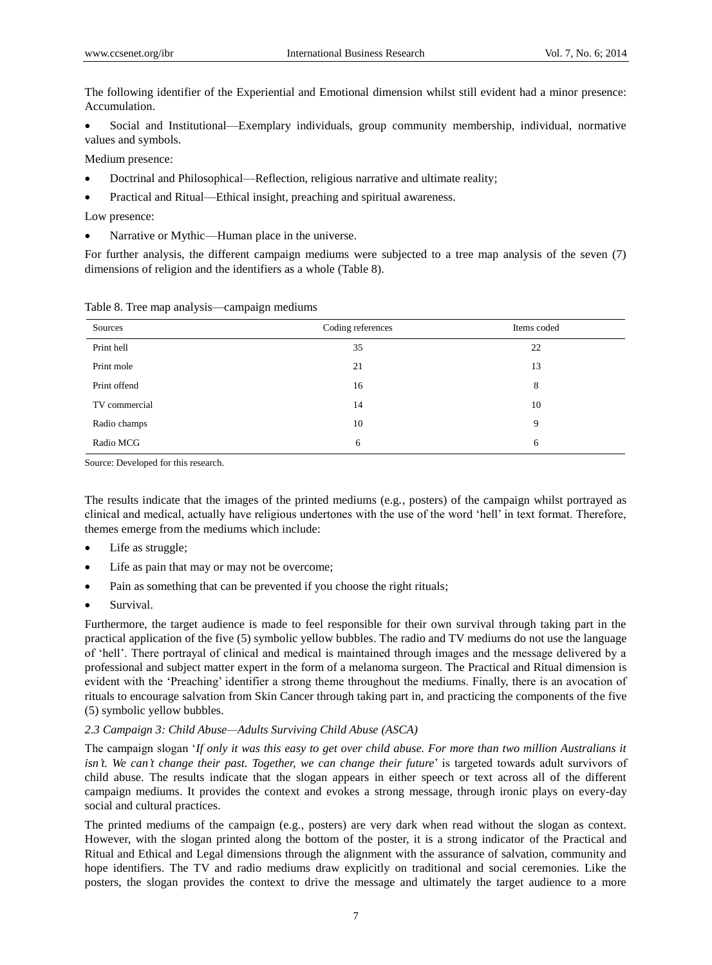The following identifier of the Experiential and Emotional dimension whilst still evident had a minor presence: Accumulation.

 Social and Institutional—Exemplary individuals, group community membership, individual, normative values and symbols.

Medium presence:

- Doctrinal and Philosophical—Reflection, religious narrative and ultimate reality;
- Practical and Ritual—Ethical insight, preaching and spiritual awareness.

Low presence:

Narrative or Mythic—Human place in the universe.

For further analysis, the different campaign mediums were subjected to a tree map analysis of the seven (7) dimensions of religion and the identifiers as a whole (Table 8).

| Sources       | Coding references | Items coded |
|---------------|-------------------|-------------|
| Print hell    | 35                | 22          |
| Print mole    | 21                | 13          |
| Print offend  | 16                | 8           |
| TV commercial | 14                | 10          |
| Radio champs  | 10                | 9           |
| Radio MCG     | 6                 | 6           |

Table 8. Tree map analysis—campaign mediums

Source: Developed for this research.

The results indicate that the images of the printed mediums (e.g., posters) of the campaign whilst portrayed as clinical and medical, actually have religious undertones with the use of the word ‗hell' in text format. Therefore, themes emerge from the mediums which include:

- Life as struggle;
- Life as pain that may or may not be overcome;
- Pain as something that can be prevented if you choose the right rituals;
- Survival.

Furthermore, the target audience is made to feel responsible for their own survival through taking part in the practical application of the five (5) symbolic yellow bubbles. The radio and TV mediums do not use the language of ‗hell'. There portrayal of clinical and medical is maintained through images and the message delivered by a professional and subject matter expert in the form of a melanoma surgeon. The Practical and Ritual dimension is evident with the 'Preaching' identifier a strong theme throughout the mediums. Finally, there is an avocation of rituals to encourage salvation from Skin Cancer through taking part in, and practicing the components of the five (5) symbolic yellow bubbles.

## *2.3 Campaign 3: Child Abuse—Adults Surviving Child Abuse (ASCA)*

The campaign slogan ‗*If only it was this easy to get over child abuse. For more than two million Australians it isn"t. We can"t change their past. Together, we can change their future*' is targeted towards adult survivors of child abuse. The results indicate that the slogan appears in either speech or text across all of the different campaign mediums. It provides the context and evokes a strong message, through ironic plays on every-day social and cultural practices.

The printed mediums of the campaign (e.g., posters) are very dark when read without the slogan as context. However, with the slogan printed along the bottom of the poster, it is a strong indicator of the Practical and Ritual and Ethical and Legal dimensions through the alignment with the assurance of salvation, community and hope identifiers. The TV and radio mediums draw explicitly on traditional and social ceremonies. Like the posters, the slogan provides the context to drive the message and ultimately the target audience to a more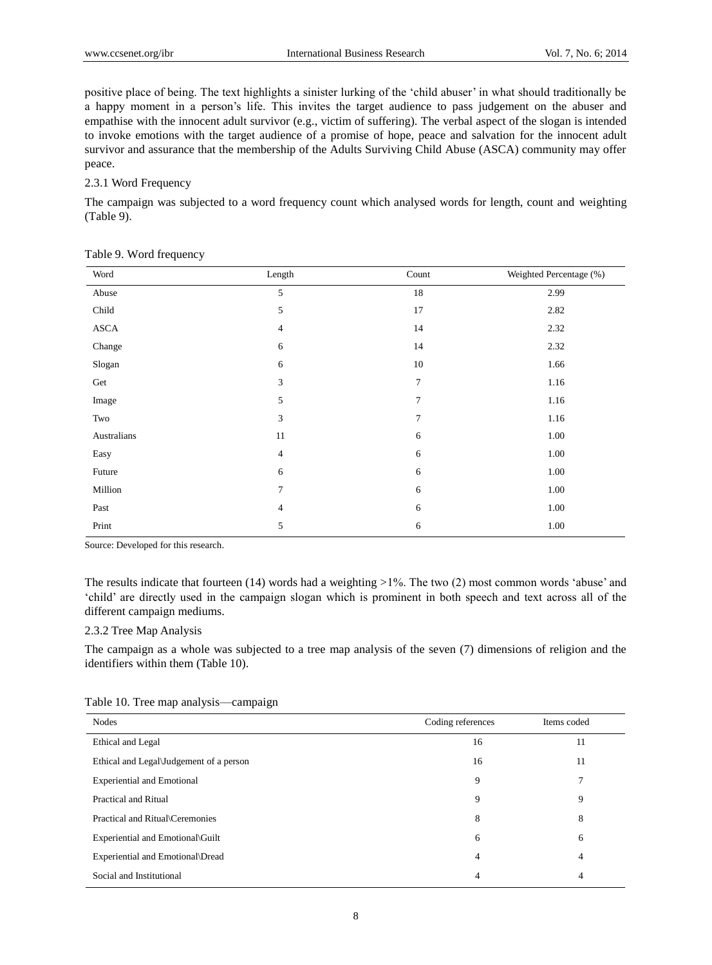positive place of being. The text highlights a sinister lurking of the ‗child abuser' in what should traditionally be a happy moment in a person's life. This invites the target audience to pass judgement on the abuser and empathise with the innocent adult survivor (e.g., victim of suffering). The verbal aspect of the slogan is intended to invoke emotions with the target audience of a promise of hope, peace and salvation for the innocent adult survivor and assurance that the membership of the Adults Surviving Child Abuse (ASCA) community may offer peace.

# 2.3.1 Word Frequency

The campaign was subjected to a word frequency count which analysed words for length, count and weighting (Table 9).

| Word                         | Length         | Count          | Weighted Percentage (%) |
|------------------------------|----------------|----------------|-------------------------|
| $\!$ Abuse                   | 5              | 18             | 2.99                    |
| Child                        | 5              | 17             | 2.82                    |
| $\boldsymbol{\mathsf{ASCA}}$ | $\overline{4}$ | 14             | 2.32                    |
| Change                       | 6              | 14             | 2.32                    |
| Slogan                       | 6              | 10             | 1.66                    |
| $\operatorname{Get}$         | 3              | $\tau$         | 1.16                    |
| Image                        | 5              | $\overline{7}$ | 1.16                    |
| $\operatorname{Two}$         | 3              | $\overline{7}$ | 1.16                    |
| Australians                  | 11             | 6              | 1.00                    |
| Easy                         | $\overline{4}$ | $\sqrt{6}$     | 1.00                    |
| Future                       | 6              | 6              | 1.00                    |
| Million                      | $\overline{7}$ | $\sqrt{6}$     | 1.00                    |
| Past                         | $\overline{4}$ | 6              | 1.00                    |
| Print                        | 5              | 6              | 1.00                    |

Table 9. Word frequency

Source: Developed for this research.

The results indicate that fourteen  $(14)$  words had a weighting  $>1\%$ . The two  $(2)$  most common words 'abuse' and ‗child' are directly used in the campaign slogan which is prominent in both speech and text across all of the different campaign mediums.

# 2.3.2 Tree Map Analysis

The campaign as a whole was subjected to a tree map analysis of the seven (7) dimensions of religion and the identifiers within them (Table 10).

|  | Table 10. Tree map analysis—campaign |  |
|--|--------------------------------------|--|
|  |                                      |  |

| <b>Nodes</b>                            | Coding references | Items coded |
|-----------------------------------------|-------------------|-------------|
| Ethical and Legal                       | 16                | 11          |
| Ethical and Legal Judgement of a person | 16                | 11          |
| <b>Experiential and Emotional</b>       | 9                 | 7           |
| Practical and Ritual                    | 9                 | 9           |
| Practical and Ritual\Ceremonies         | 8                 | 8           |
| Experiential and Emotional\Guilt        | 6                 | 6           |
| Experiential and Emotional\Dread        | 4                 | 4           |
| Social and Institutional                | 4                 | 4           |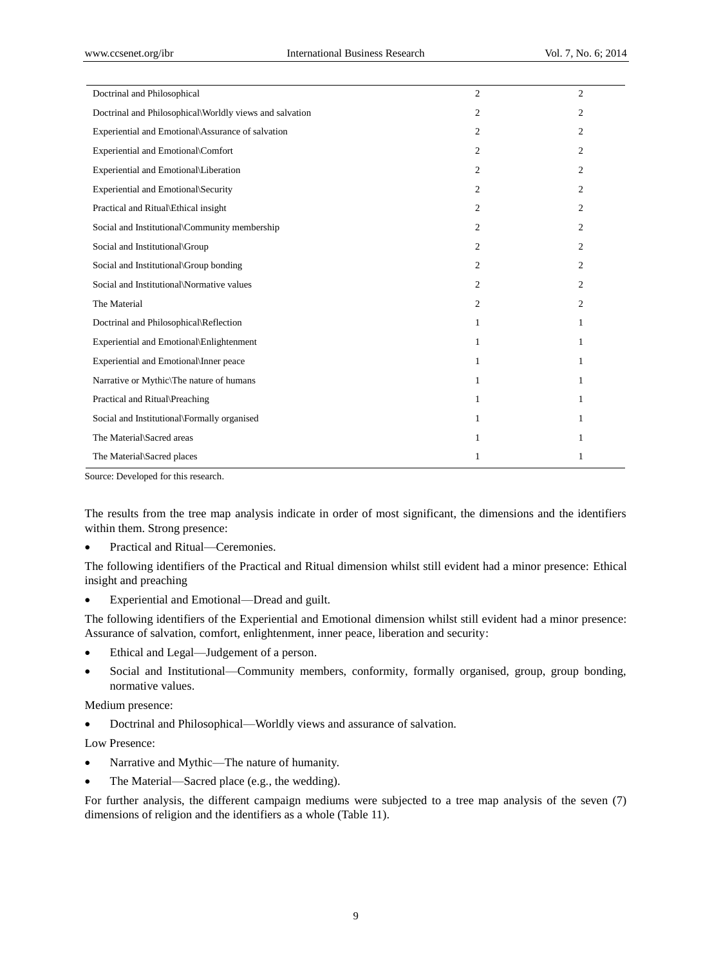| Doctrinal and Philosophical                             | $\mathfrak{2}$ | $\overline{c}$ |
|---------------------------------------------------------|----------------|----------------|
| Doctrinal and Philosophical\Worldly views and salvation | $\mathfrak{2}$ | 2              |
| Experiential and Emotional\Assurance of salvation       | $\overline{c}$ | 2              |
| Experiential and Emotional\Comfort                      | $\overline{c}$ | $\overline{c}$ |
| Experiential and Emotional\Liberation                   | $\mathfrak{2}$ | 2              |
| Experiential and Emotional\Security                     | $\overline{c}$ | 2              |
| Practical and Ritual\Ethical insight                    | 2              | 2              |
| Social and Institutional\Community membership           | $\mathfrak{2}$ | 2              |
| Social and Institutional\Group                          | $\overline{c}$ | $\overline{2}$ |
| Social and Institutional\Group bonding                  | $\overline{2}$ | $\overline{c}$ |
| Social and Institutional\Normative values               | $\overline{2}$ | 2              |
| The Material                                            | $\overline{2}$ | $\overline{c}$ |
| Doctrinal and Philosophical\Reflection                  | 1              | 1              |
| Experiential and Emotional\Enlightenment                | 1              | 1              |
| Experiential and Emotional\Inner peace                  | $\mathbf{1}$   | 1              |
| Narrative or Mythic\The nature of humans                | 1              | 1              |
| Practical and Ritual\Preaching                          | 1              | 1              |
| Social and Institutional\Formally organised             | $\mathbf{1}$   | $\mathbf{1}$   |
| The Material\Sacred areas                               | 1              | 1              |
| The Material\Sacred places                              | 1              | 1              |
|                                                         |                |                |

Source: Developed for this research.

The results from the tree map analysis indicate in order of most significant, the dimensions and the identifiers within them. Strong presence:

Practical and Ritual—Ceremonies.

The following identifiers of the Practical and Ritual dimension whilst still evident had a minor presence: Ethical insight and preaching

Experiential and Emotional—Dread and guilt.

The following identifiers of the Experiential and Emotional dimension whilst still evident had a minor presence: Assurance of salvation, comfort, enlightenment, inner peace, liberation and security:

- Ethical and Legal—Judgement of a person.
- Social and Institutional—Community members, conformity, formally organised, group, group bonding, normative values.

Medium presence:

Doctrinal and Philosophical—Worldly views and assurance of salvation.

Low Presence:

- Narrative and Mythic—The nature of humanity.
- The Material—Sacred place (e.g., the wedding).

For further analysis, the different campaign mediums were subjected to a tree map analysis of the seven (7) dimensions of religion and the identifiers as a whole (Table 11).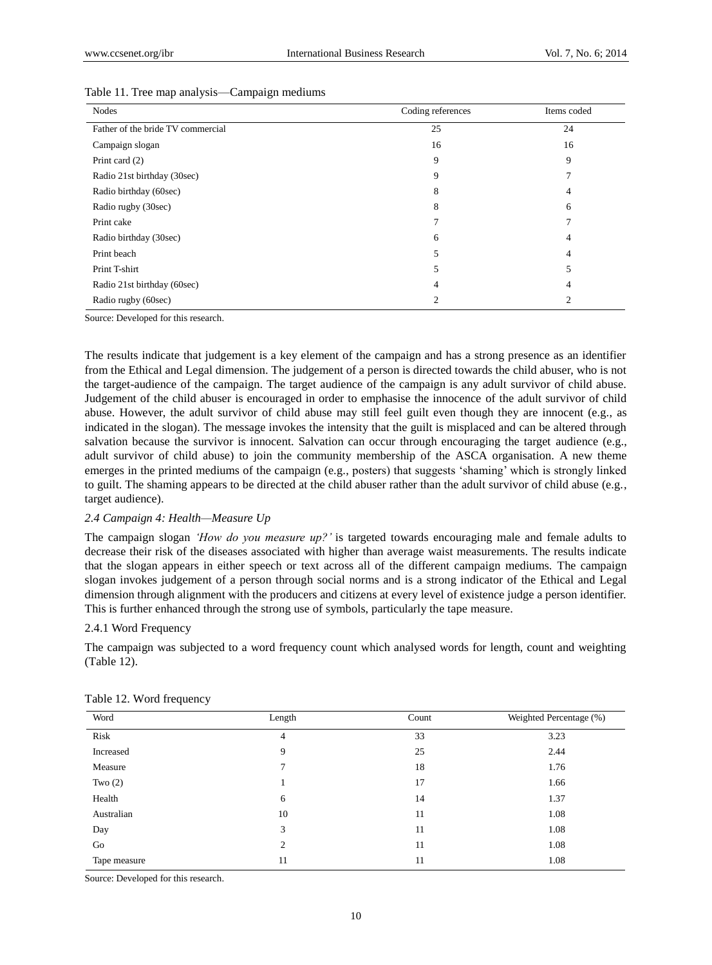| <b>Nodes</b>                      | Coding references | Items coded |
|-----------------------------------|-------------------|-------------|
| Father of the bride TV commercial | 25                | 24          |
| Campaign slogan                   | 16                | 16          |
| Print card (2)                    | 9                 | 9           |
| Radio 21st birthday (30sec)       | 9                 | 7           |
| Radio birthday (60sec)            | 8                 | 4           |
| Radio rugby (30sec)               | 8                 | 6           |
| Print cake                        |                   | 7           |
| Radio birthday (30sec)            | 6                 | 4           |
| Print beach                       | 5                 | 4           |
| Print T-shirt                     | 5                 | 5           |
| Radio 21st birthday (60sec)       | 4                 | 4           |
| Radio rugby (60sec)               | ◠                 | 2           |

#### Table 11. Tree map analysis—Campaign mediums

Source: Developed for this research.

The results indicate that judgement is a key element of the campaign and has a strong presence as an identifier from the Ethical and Legal dimension. The judgement of a person is directed towards the child abuser, who is not the target-audience of the campaign. The target audience of the campaign is any adult survivor of child abuse. Judgement of the child abuser is encouraged in order to emphasise the innocence of the adult survivor of child abuse. However, the adult survivor of child abuse may still feel guilt even though they are innocent (e.g., as indicated in the slogan). The message invokes the intensity that the guilt is misplaced and can be altered through salvation because the survivor is innocent. Salvation can occur through encouraging the target audience (e.g., adult survivor of child abuse) to join the community membership of the ASCA organisation. A new theme emerges in the printed mediums of the campaign (e.g., posters) that suggests 'shaming' which is strongly linked to guilt. The shaming appears to be directed at the child abuser rather than the adult survivor of child abuse (e.g., target audience).

## *2.4 Campaign 4: Health—Measure Up*

The campaign slogan *"How do you measure up?"* is targeted towards encouraging male and female adults to decrease their risk of the diseases associated with higher than average waist measurements. The results indicate that the slogan appears in either speech or text across all of the different campaign mediums. The campaign slogan invokes judgement of a person through social norms and is a strong indicator of the Ethical and Legal dimension through alignment with the producers and citizens at every level of existence judge a person identifier. This is further enhanced through the strong use of symbols, particularly the tape measure.

## 2.4.1 Word Frequency

The campaign was subjected to a word frequency count which analysed words for length, count and weighting (Table 12).

| Word         | Length         | Count | Weighted Percentage (%) |
|--------------|----------------|-------|-------------------------|
| Risk         | 4              | 33    | 3.23                    |
| Increased    | 9              | 25    | 2.44                    |
| Measure      | $\mathcal{I}$  | 18    | 1.76                    |
| Two $(2)$    |                | 17    | 1.66                    |
| Health       | 6              | 14    | 1.37                    |
| Australian   | 10             | 11    | 1.08                    |
| Day          | 3              | 11    | 1.08                    |
| Go           | $\overline{c}$ | 11    | 1.08                    |
| Tape measure | 11             | 11    | 1.08                    |

|  |  |  |  | Table 12. Word frequency |
|--|--|--|--|--------------------------|
|--|--|--|--|--------------------------|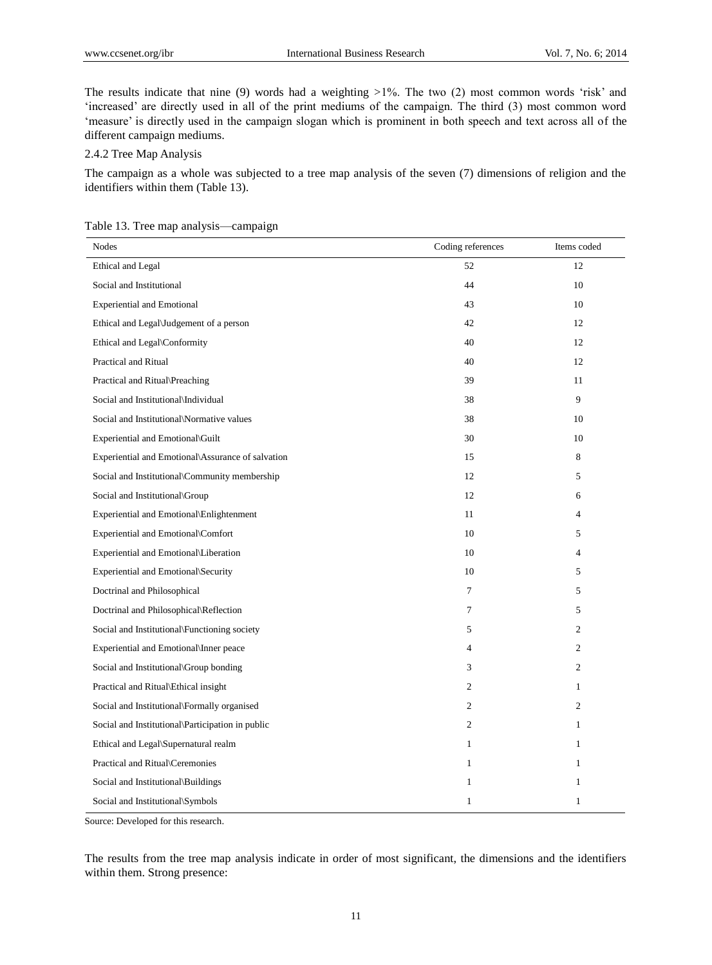The results indicate that nine (9) words had a weighting  $>1\%$ . The two (2) most common words 'risk' and ‗increased' are directly used in all of the print mediums of the campaign. The third (3) most common word ‗measure' is directly used in the campaign slogan which is prominent in both speech and text across all of the different campaign mediums.

#### 2.4.2 Tree Map Analysis

The campaign as a whole was subjected to a tree map analysis of the seven (7) dimensions of religion and the identifiers within them (Table 13).

|  |  | Table 13. Tree map analysis—campaign |
|--|--|--------------------------------------|
|  |  |                                      |

| Nodes                                             | Coding references | Items coded    |
|---------------------------------------------------|-------------------|----------------|
| Ethical and Legal                                 | 52                | 12             |
| Social and Institutional                          | 44                | 10             |
| <b>Experiential and Emotional</b>                 | 43                | 10             |
| Ethical and Legal\Judgement of a person           | 42                | 12             |
| Ethical and Legal\Conformity                      | 40                | 12             |
| Practical and Ritual                              | 40                | 12             |
| Practical and Ritual\Preaching                    | 39                | 11             |
| Social and Institutional\Individual               | 38                | 9              |
| Social and Institutional\Normative values         | 38                | 10             |
| Experiential and Emotional\Guilt                  | 30                | 10             |
| Experiential and Emotional\Assurance of salvation | 15                | 8              |
| Social and Institutional\Community membership     | 12                | 5              |
| Social and Institutional\Group                    | 12                | 6              |
| Experiential and Emotional\Enlightenment          | 11                | $\overline{4}$ |
| Experiential and Emotional\Comfort                | 10                | 5              |
| Experiential and Emotional\Liberation             | 10                | $\overline{4}$ |
| Experiential and Emotional\Security               | 10                | 5              |
| Doctrinal and Philosophical                       | 7                 | 5              |
| Doctrinal and Philosophical\Reflection            | 7                 | 5              |
| Social and Institutional\Functioning society      | 5                 | $\overline{c}$ |
| Experiential and Emotional Inner peace            | 4                 | $\overline{c}$ |
| Social and Institutional\Group bonding            | 3                 | $\overline{2}$ |
| Practical and Ritual\Ethical insight              | $\overline{2}$    | $\mathbf{1}$   |
| Social and Institutional\Formally organised       | $\overline{c}$    | $\overline{c}$ |
| Social and Institutional\Participation in public  | $\overline{c}$    | 1              |
| Ethical and Legal\Supernatural realm              | $\mathbf{1}$      | 1              |
| Practical and Ritual\Ceremonies                   | 1                 | 1              |
| Social and Institutional\Buildings                | $\mathbf{1}$      | 1              |
| Social and Institutional\Symbols                  | $\mathbf{1}$      | 1              |

Source: Developed for this research.

The results from the tree map analysis indicate in order of most significant, the dimensions and the identifiers within them. Strong presence: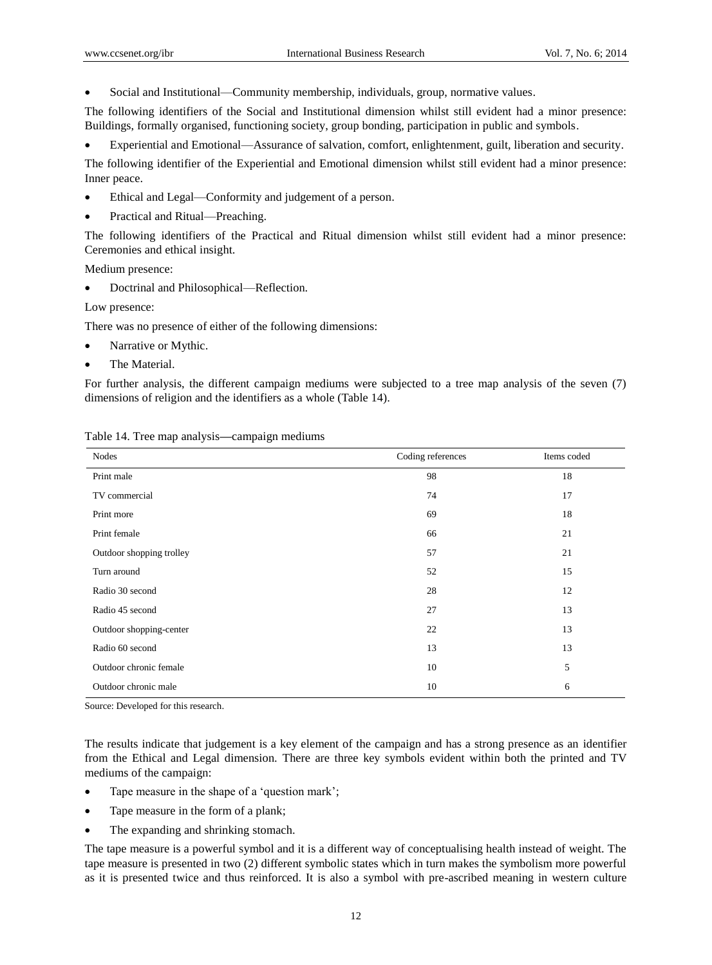Social and Institutional—Community membership, individuals, group, normative values.

The following identifiers of the Social and Institutional dimension whilst still evident had a minor presence: Buildings, formally organised, functioning society, group bonding, participation in public and symbols.

Experiential and Emotional—Assurance of salvation, comfort, enlightenment, guilt, liberation and security.

The following identifier of the Experiential and Emotional dimension whilst still evident had a minor presence: Inner peace.

- Ethical and Legal—Conformity and judgement of a person.
- Practical and Ritual—Preaching.

The following identifiers of the Practical and Ritual dimension whilst still evident had a minor presence: Ceremonies and ethical insight.

Medium presence:

Doctrinal and Philosophical—Reflection.

Low presence:

There was no presence of either of the following dimensions:

- Narrative or Mythic.
- The Material.

For further analysis, the different campaign mediums were subjected to a tree map analysis of the seven (7) dimensions of religion and the identifiers as a whole (Table 14).

| <b>Nodes</b>             | Coding references | Items coded |
|--------------------------|-------------------|-------------|
| Print male               | 98                | 18          |
| TV commercial            | 74                | 17          |
| Print more               | 69                | 18          |
| Print female             | 66                | 21          |
| Outdoor shopping trolley | 57                | 21          |
| Turn around              | 52                | 15          |
| Radio 30 second          | 28                | 12          |
| Radio 45 second          | 27                | 13          |
| Outdoor shopping-center  | 22                | 13          |
| Radio 60 second          | 13                | 13          |
| Outdoor chronic female   | 10                | 5           |
| Outdoor chronic male     | 10                | 6           |

Table 14. Tree map analysis**—**campaign mediums

Source: Developed for this research.

The results indicate that judgement is a key element of the campaign and has a strong presence as an identifier from the Ethical and Legal dimension. There are three key symbols evident within both the printed and TV mediums of the campaign:

- Tape measure in the shape of a 'question mark';
- Tape measure in the form of a plank;
- The expanding and shrinking stomach.

The tape measure is a powerful symbol and it is a different way of conceptualising health instead of weight. The tape measure is presented in two (2) different symbolic states which in turn makes the symbolism more powerful as it is presented twice and thus reinforced. It is also a symbol with pre-ascribed meaning in western culture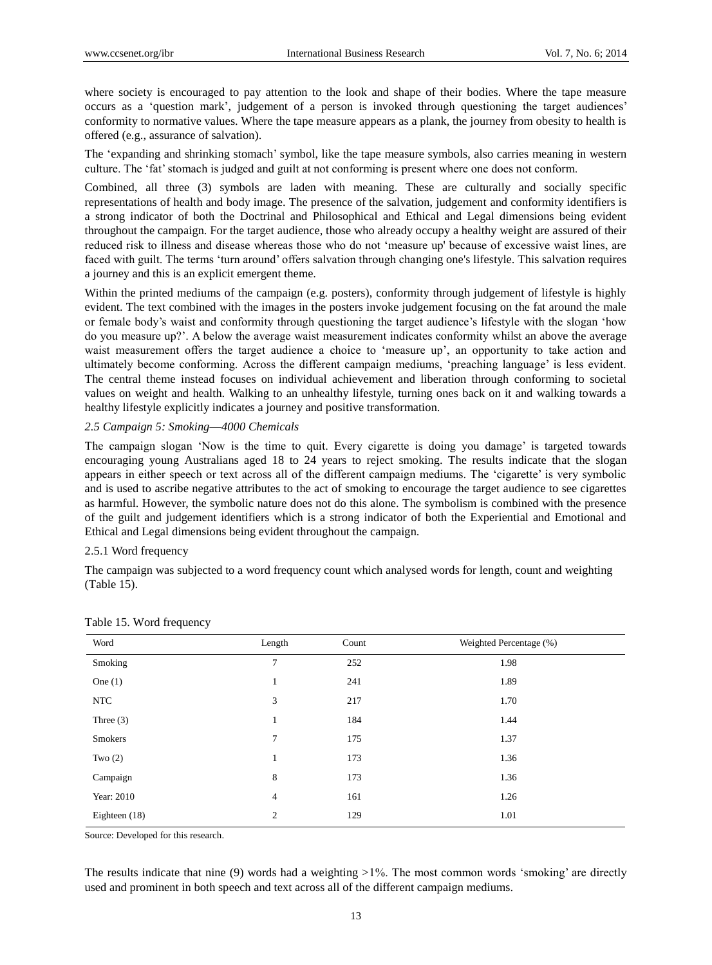where society is encouraged to pay attention to the look and shape of their bodies. Where the tape measure occurs as a ‗question mark', judgement of a person is invoked through questioning the target audiences' conformity to normative values. Where the tape measure appears as a plank, the journey from obesity to health is offered (e.g., assurance of salvation).

The 'expanding and shrinking stomach' symbol, like the tape measure symbols, also carries meaning in western culture. The 'fat' stomach is judged and guilt at not conforming is present where one does not conform.

Combined, all three (3) symbols are laden with meaning. These are culturally and socially specific representations of health and body image. The presence of the salvation, judgement and conformity identifiers is a strong indicator of both the Doctrinal and Philosophical and Ethical and Legal dimensions being evident throughout the campaign. For the target audience, those who already occupy a healthy weight are assured of their reduced risk to illness and disease whereas those who do not 'measure up' because of excessive waist lines, are faced with guilt. The terms 'turn around' offers salvation through changing one's lifestyle. This salvation requires a journey and this is an explicit emergent theme.

Within the printed mediums of the campaign (e.g. posters), conformity through judgement of lifestyle is highly evident. The text combined with the images in the posters invoke judgement focusing on the fat around the male or female body's waist and conformity through questioning the target audience's lifestyle with the slogan 'how do you measure up?'. A below the average waist measurement indicates conformity whilst an above the average waist measurement offers the target audience a choice to 'measure up', an opportunity to take action and ultimately become conforming. Across the different campaign mediums, ‗preaching language' is less evident. The central theme instead focuses on individual achievement and liberation through conforming to societal values on weight and health. Walking to an unhealthy lifestyle, turning ones back on it and walking towards a healthy lifestyle explicitly indicates a journey and positive transformation.

## *2.5 Campaign 5: Smoking*—*4000 Chemicals*

The campaign slogan 'Now is the time to quit. Every cigarette is doing you damage' is targeted towards encouraging young Australians aged 18 to 24 years to reject smoking. The results indicate that the slogan appears in either speech or text across all of the different campaign mediums. The 'cigarette' is very symbolic and is used to ascribe negative attributes to the act of smoking to encourage the target audience to see cigarettes as harmful. However, the symbolic nature does not do this alone. The symbolism is combined with the presence of the guilt and judgement identifiers which is a strong indicator of both the Experiential and Emotional and Ethical and Legal dimensions being evident throughout the campaign.

## 2.5.1 Word frequency

The campaign was subjected to a word frequency count which analysed words for length, count and weighting (Table 15).

| Word            | Length         | Count | Weighted Percentage (%) |
|-----------------|----------------|-------|-------------------------|
| Smoking         | $\tau$         | 252   | 1.98                    |
| One $(1)$       | $\mathbf{1}$   | 241   | 1.89                    |
| <b>NTC</b>      | 3              | 217   | 1.70                    |
| Three $(3)$     | $\mathbf{1}$   | 184   | 1.44                    |
| <b>Smokers</b>  | $\tau$         | 175   | 1.37                    |
| Two $(2)$       | 1              | 173   | 1.36                    |
| Campaign        | 8              | 173   | 1.36                    |
| Year: 2010      | $\overline{4}$ | 161   | 1.26                    |
| Eighteen $(18)$ | $\overline{2}$ | 129   | 1.01                    |

Table 15. Word frequency

Source: Developed for this research.

The results indicate that nine  $(9)$  words had a weighting  $>1\%$ . The most common words 'smoking' are directly used and prominent in both speech and text across all of the different campaign mediums.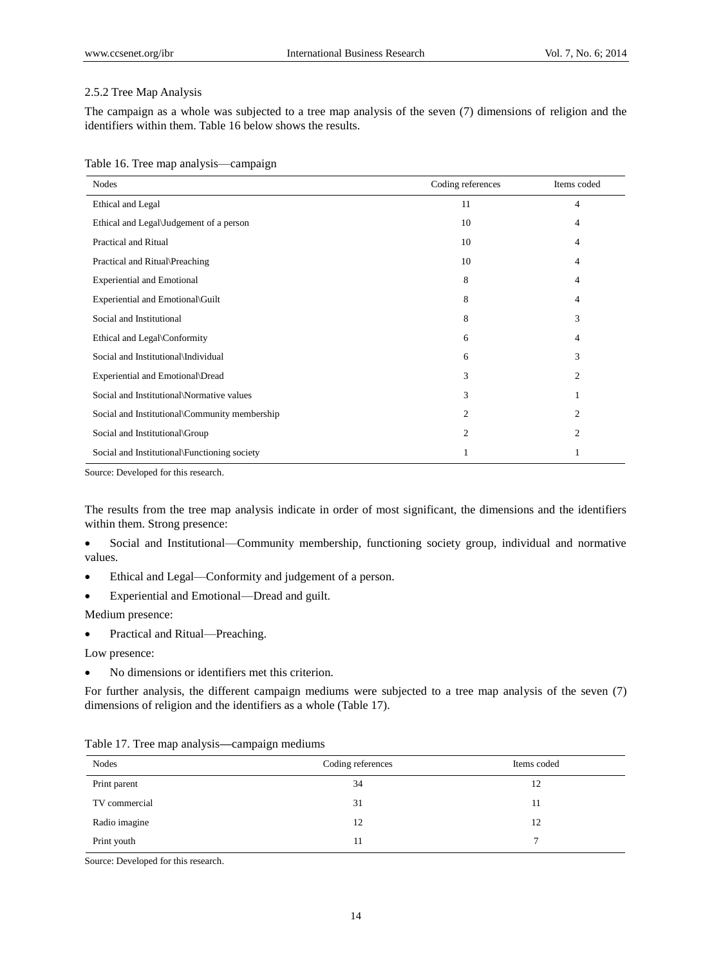# 2.5.2 Tree Map Analysis

The campaign as a whole was subjected to a tree map analysis of the seven (7) dimensions of religion and the identifiers within them. Table 16 below shows the results.

| Table 16. Tree map analysis—campaign |  |  |  |  |  |
|--------------------------------------|--|--|--|--|--|
|--------------------------------------|--|--|--|--|--|

| <b>Nodes</b>                                  | Coding references | Items coded    |
|-----------------------------------------------|-------------------|----------------|
| Ethical and Legal                             | 11                | 4              |
| Ethical and Legal\Judgement of a person       | 10                | 4              |
| Practical and Ritual                          | 10                | 4              |
| Practical and Ritual\Preaching                | 10                | 4              |
| <b>Experiential and Emotional</b>             | 8                 | $\overline{4}$ |
| Experiential and Emotional\Guilt              | 8                 | 4              |
| Social and Institutional                      | 8                 | 3              |
| Ethical and Legal\Conformity                  | 6                 | 4              |
| Social and Institutional\Individual           | 6                 | 3              |
| Experiential and Emotional\Dread              | 3                 | $\overline{2}$ |
| Social and Institutional\Normative values     | 3                 | 1              |
| Social and Institutional\Community membership | 2                 | $\overline{2}$ |
| Social and Institutional\Group                | $\overline{c}$    | $\overline{2}$ |
| Social and Institutional\Functioning society  | 1                 | 1              |

Source: Developed for this research.

The results from the tree map analysis indicate in order of most significant, the dimensions and the identifiers within them. Strong presence:

 Social and Institutional—Community membership, functioning society group, individual and normative values.

- Ethical and Legal—Conformity and judgement of a person.
- Experiential and Emotional—Dread and guilt.

Medium presence:

Practical and Ritual—Preaching.

Low presence:

No dimensions or identifiers met this criterion.

For further analysis, the different campaign mediums were subjected to a tree map analysis of the seven (7) dimensions of religion and the identifiers as a whole (Table 17).

| Nodes         | Coding references | Items coded |
|---------------|-------------------|-------------|
| Print parent  | 34                | 12          |
| TV commercial | 31                | 11          |
| Radio imagine | 12                | 12          |
| Print youth   | 11                |             |

Table 17. Tree map analysis**—**campaign mediums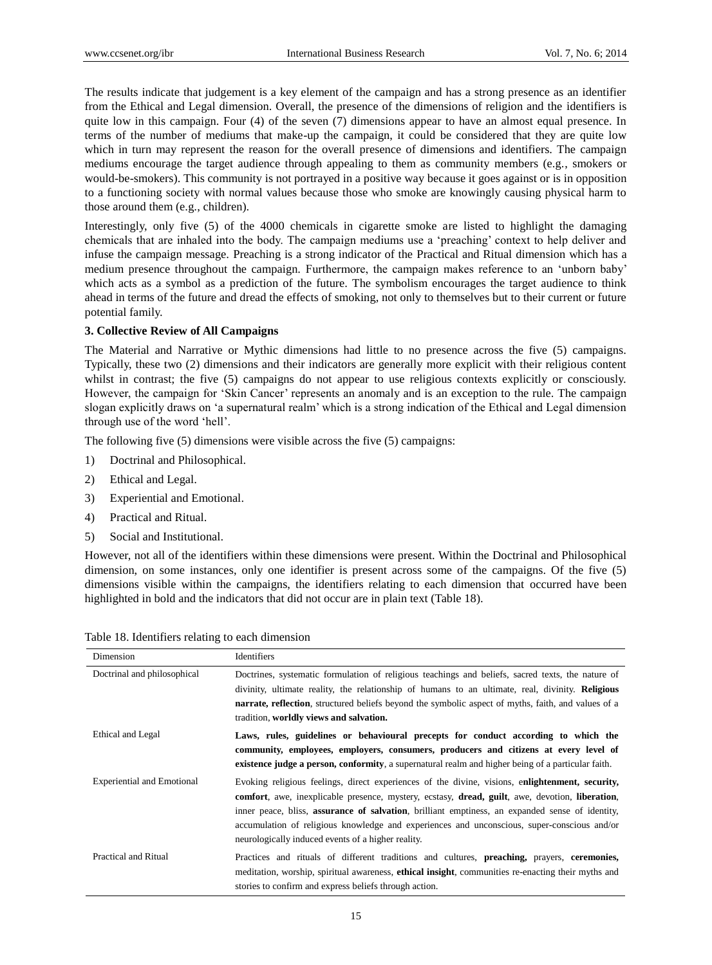The results indicate that judgement is a key element of the campaign and has a strong presence as an identifier from the Ethical and Legal dimension. Overall, the presence of the dimensions of religion and the identifiers is quite low in this campaign. Four (4) of the seven (7) dimensions appear to have an almost equal presence. In terms of the number of mediums that make-up the campaign, it could be considered that they are quite low which in turn may represent the reason for the overall presence of dimensions and identifiers. The campaign mediums encourage the target audience through appealing to them as community members (e.g., smokers or would-be-smokers). This community is not portrayed in a positive way because it goes against or is in opposition to a functioning society with normal values because those who smoke are knowingly causing physical harm to those around them (e.g., children).

Interestingly, only five (5) of the 4000 chemicals in cigarette smoke are listed to highlight the damaging chemicals that are inhaled into the body. The campaign mediums use a 'preaching' context to help deliver and infuse the campaign message. Preaching is a strong indicator of the Practical and Ritual dimension which has a medium presence throughout the campaign. Furthermore, the campaign makes reference to an 'unborn baby' which acts as a symbol as a prediction of the future. The symbolism encourages the target audience to think ahead in terms of the future and dread the effects of smoking, not only to themselves but to their current or future potential family.

# **3. Collective Review of All Campaigns**

The Material and Narrative or Mythic dimensions had little to no presence across the five (5) campaigns. Typically, these two (2) dimensions and their indicators are generally more explicit with their religious content whilst in contrast; the five (5) campaigns do not appear to use religious contexts explicitly or consciously. However, the campaign for 'Skin Cancer' represents an anomaly and is an exception to the rule. The campaign slogan explicitly draws on 'a supernatural realm' which is a strong indication of the Ethical and Legal dimension through use of the word 'hell'.

The following five (5) dimensions were visible across the five (5) campaigns:

- 1) Doctrinal and Philosophical.
- 2) Ethical and Legal.
- 3) Experiential and Emotional.
- 4) Practical and Ritual.
- 5) Social and Institutional.

However, not all of the identifiers within these dimensions were present. Within the Doctrinal and Philosophical dimension, on some instances, only one identifier is present across some of the campaigns. Of the five (5) dimensions visible within the campaigns, the identifiers relating to each dimension that occurred have been highlighted in bold and the indicators that did not occur are in plain text (Table 18).

| Dimension                         | Identifiers                                                                                                                                                                                                                                                                                                                                                                                                                                                |
|-----------------------------------|------------------------------------------------------------------------------------------------------------------------------------------------------------------------------------------------------------------------------------------------------------------------------------------------------------------------------------------------------------------------------------------------------------------------------------------------------------|
| Doctrinal and philosophical       | Doctrines, systematic formulation of religious teachings and beliefs, sacred texts, the nature of                                                                                                                                                                                                                                                                                                                                                          |
|                                   | divinity, ultimate reality, the relationship of humans to an ultimate, real, divinity. <b>Religious</b>                                                                                                                                                                                                                                                                                                                                                    |
|                                   | <b>narrate, reflection</b> , structured beliefs beyond the symbolic aspect of myths, faith, and values of a                                                                                                                                                                                                                                                                                                                                                |
|                                   | tradition, worldly views and salvation.                                                                                                                                                                                                                                                                                                                                                                                                                    |
| Ethical and Legal                 | Laws, rules, guidelines or behavioural precepts for conduct according to which the<br>community, employees, employers, consumers, producers and citizens at every level of                                                                                                                                                                                                                                                                                 |
|                                   | existence judge a person, conformity, a supernatural realm and higher being of a particular faith.                                                                                                                                                                                                                                                                                                                                                         |
| <b>Experiential and Emotional</b> | Evoking religious feelings, direct experiences of the divine, visions, enlightenment, security,<br>comfort, awe, inexplicable presence, mystery, ecstasy, dread, guilt, awe, devotion, liberation,<br>inner peace, bliss, assurance of salvation, brilliant emptiness, an expanded sense of identity,<br>accumulation of religious knowledge and experiences and unconscious, super-conscious and/or<br>neurologically induced events of a higher reality. |
| Practical and Ritual              | Practices and rituals of different traditions and cultures, <b>preaching</b> , prayers, <b>ceremonies</b> ,<br>meditation, worship, spiritual awareness, <b>ethical insight</b> , communities re-enacting their myths and<br>stories to confirm and express beliefs through action.                                                                                                                                                                        |

Table 18. Identifiers relating to each dimension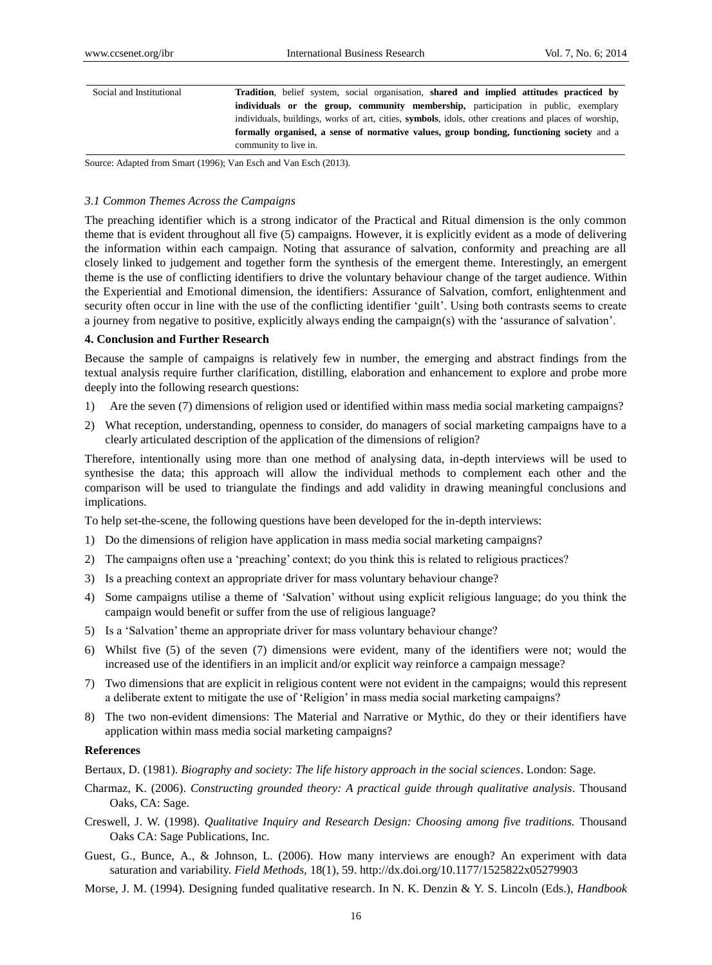| Social and Institutional | Tradition, belief system, social organisation, shared and implied attitudes practiced by             |
|--------------------------|------------------------------------------------------------------------------------------------------|
|                          | individuals or the group, community membership, participation in public, exemplary                   |
|                          | individuals, buildings, works of art, cities, symbols, idols, other creations and places of worship, |
|                          | formally organised, a sense of normative values, group bonding, functioning society and a            |
|                          | community to live in.                                                                                |

Source: Adapted from Smart (1996); Van Esch and Van Esch (2013).

#### *3.1 Common Themes Across the Campaigns*

The preaching identifier which is a strong indicator of the Practical and Ritual dimension is the only common theme that is evident throughout all five (5) campaigns. However, it is explicitly evident as a mode of delivering the information within each campaign. Noting that assurance of salvation, conformity and preaching are all closely linked to judgement and together form the synthesis of the emergent theme. Interestingly, an emergent theme is the use of conflicting identifiers to drive the voluntary behaviour change of the target audience. Within the Experiential and Emotional dimension, the identifiers: Assurance of Salvation, comfort, enlightenment and security often occur in line with the use of the conflicting identifier 'guilt'. Using both contrasts seems to create a journey from negative to positive, explicitly always ending the campaign(s) with the ‗assurance of salvation'.

#### **4. Conclusion and Further Research**

Because the sample of campaigns is relatively few in number, the emerging and abstract findings from the textual analysis require further clarification, distilling, elaboration and enhancement to explore and probe more deeply into the following research questions:

- 1) Are the seven (7) dimensions of religion used or identified within mass media social marketing campaigns?
- 2) What reception, understanding, openness to consider, do managers of social marketing campaigns have to a clearly articulated description of the application of the dimensions of religion?

Therefore, intentionally using more than one method of analysing data, in-depth interviews will be used to synthesise the data; this approach will allow the individual methods to complement each other and the comparison will be used to triangulate the findings and add validity in drawing meaningful conclusions and implications.

To help set-the-scene, the following questions have been developed for the in-depth interviews:

- 1) Do the dimensions of religion have application in mass media social marketing campaigns?
- 2) The campaigns often use a 'preaching' context; do you think this is related to religious practices?
- 3) Is a preaching context an appropriate driver for mass voluntary behaviour change?
- 4) Some campaigns utilise a theme of ‗Salvation' without using explicit religious language; do you think the campaign would benefit or suffer from the use of religious language?
- 5) Is a ‗Salvation' theme an appropriate driver for mass voluntary behaviour change?
- 6) Whilst five (5) of the seven (7) dimensions were evident, many of the identifiers were not; would the increased use of the identifiers in an implicit and/or explicit way reinforce a campaign message?
- 7) Two dimensions that are explicit in religious content were not evident in the campaigns; would this represent a deliberate extent to mitigate the use of 'Religion' in mass media social marketing campaigns?
- 8) The two non-evident dimensions: The Material and Narrative or Mythic, do they or their identifiers have application within mass media social marketing campaigns?

## **References**

Bertaux, D. (1981). *Biography and society: The life history approach in the social sciences*. London: Sage.

- Charmaz, K. (2006). *Constructing grounded theory: A practical guide through qualitative analysis.* Thousand Oaks, CA: Sage.
- Creswell, J. W. (1998). *Qualitative Inquiry and Research Design: Choosing among five traditions.* Thousand Oaks CA: Sage Publications, Inc.
- Guest, G., Bunce, A., & Johnson, L. (2006). How many interviews are enough? An experiment with data saturation and variability. *Field Methods,* 18(1), 59. http://dx.doi.org/10.1177/1525822x05279903
- Morse, J. M. (1994). Designing funded qualitative research. In N. K. Denzin & Y. S. Lincoln (Eds.), *Handbook*